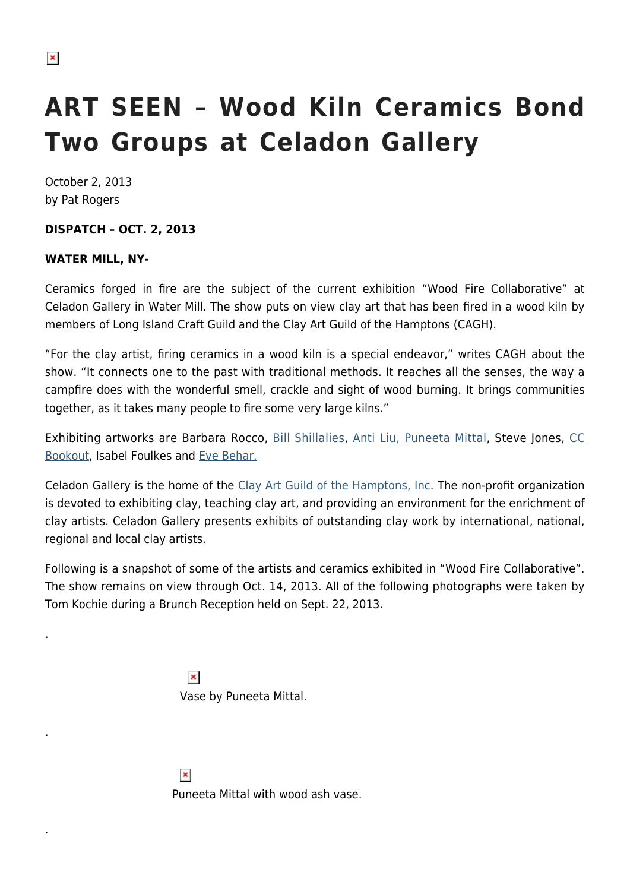.

.

.

## **ART SEEN – Wood Kiln Ceramics Bond Two Groups at Celadon Gallery**

October 2, 2013 by Pat Rogers

## **DISPATCH – OCT. 2, 2013**

## **WATER MILL, NY-**

Ceramics forged in fire are the subject of the current exhibition "Wood Fire Collaborative" at Celadon Gallery in Water Mill. The show puts on view clay art that has been fired in a wood kiln by members of Long Island Craft Guild and the Clay Art Guild of the Hamptons (CAGH).

"For the clay artist, firing ceramics in a wood kiln is a special endeavor," writes CAGH about the show. "It connects one to the past with traditional methods. It reaches all the senses, the way a campfire does with the wonderful smell, crackle and sight of wood burning. It brings communities together, as it takes many people to fire some very large kilns."

Exhibiting artworks are Barbara Rocco, [Bill Shillalies,](http://billshillalies.com/) [Anti Liu,](http://www.antiliu.com/home.php) [Puneeta Mittal](http://www.puneetaart.com/), Steve Jones, [CC](http://www.hamptonsclayart.org/clay-art-member-artists.shtml#bookout) [Bookout](http://www.hamptonsclayart.org/clay-art-member-artists.shtml#bookout), Isabel Foulkes and [Eve Behar.](http://evebehar.com/)

Celadon Gallery is the home of the [Clay Art Guild of the Hamptons, Inc.](http://www.hamptonsclayart.org/clay-art-guild.shtml) The non-profit organization is devoted to exhibiting clay, teaching clay art, and providing an environment for the enrichment of clay artists. Celadon Gallery presents exhibits of outstanding clay work by international, national, regional and local clay artists.

Following is a snapshot of some of the artists and ceramics exhibited in "Wood Fire Collaborative". The show remains on view through Oct. 14, 2013. All of the following photographs were taken by Tom Kochie during a Brunch Reception held on Sept. 22, 2013.

> $\pmb{\times}$ Vase by Puneeta Mittal.

 $\pmb{\times}$ Puneeta Mittal with wood ash vase.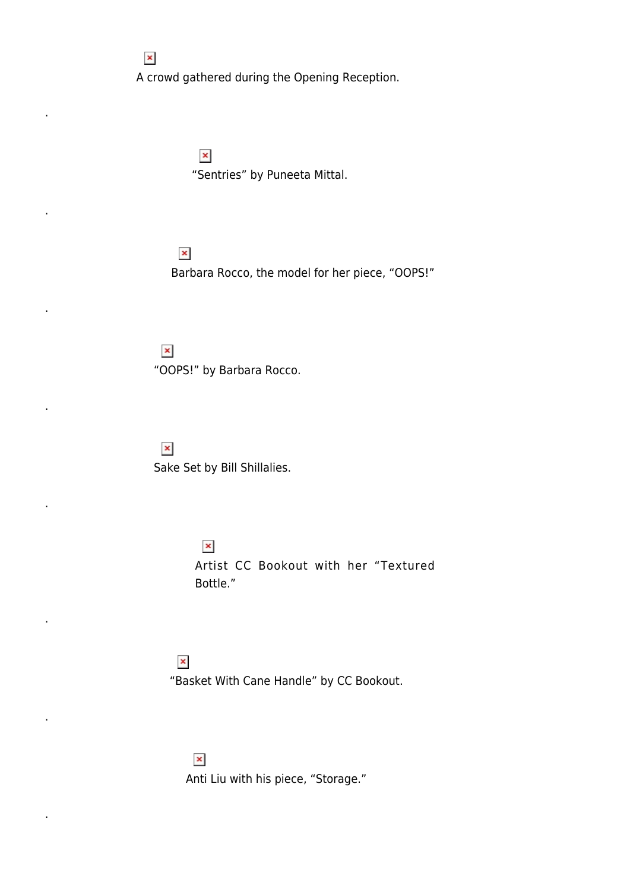$\pmb{\times}$ A crowd gathered during the Opening Reception.

> $\pmb{\times}$ "Sentries" by Puneeta Mittal.

 $\pmb{\times}$ Barbara Rocco, the model for her piece, "OOPS!"

 $\pmb{\times}$ "OOPS!" by Barbara Rocco.

 $\pmb{\times}$ 

.

.

.

.

.

.

.

.

Sake Set by Bill Shillalies.

 $\pmb{\times}$ Artist CC Bookout with her "Textured Bottle."

 $\pmb{\times}$ "Basket With Cane Handle" by CC Bookout.

 $\pmb{\times}$ Anti Liu with his piece, "Storage."